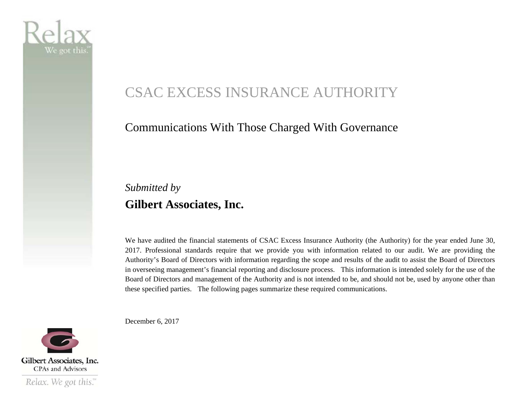

# CSAC EXCESS INSURANCE AUTHORITY

#### Communications With Those Charged With Governance

### *Submitted by*  **Gilbert Associates, Inc.**

We have audited the financial statements of CSAC Excess Insurance Authority (the Authority) for the year ended June 30, 2017. Professional standards require that we provide you with information related to our audit. We are providing the Authority's Board of Directors with information regarding the scope and results of the audit to assist the Board of Directors in overseeing management's financial reporting and disclosure process. This information is intended solely for the use of the Board of Directors and management of the Authority and is not intended to be, and should not be, used by anyone other than these specified parties. The following pages summarize these required communications.

December 6, 2017



Relax. We got this."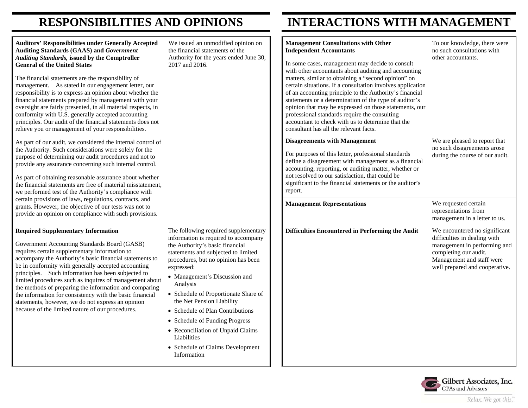### **RESPONSIBILITIES AND OPINIONS INTERACTIONS WITH MANAGEMENT**

| <b>Auditors' Responsibilities under Generally Accepted</b><br><b>Auditing Standards (GAAS) and Government</b><br><b>Auditing Standards, issued by the Comptroller</b><br><b>General of the United States</b><br>The financial statements are the responsibility of<br>management. As stated in our engagement letter, our<br>responsibility is to express an opinion about whether the<br>financial statements prepared by management with your<br>oversight are fairly presented, in all material respects, in<br>conformity with U.S. generally accepted accounting<br>principles. Our audit of the financial statements does not<br>relieve you or management of your responsibilities. | We issued an unmodified opinion on<br>the financial statements of the<br>Authority for the years ended June 30,<br>2017 and 2016.                                                                                                                                                                                                                                                                                                                                                                          | <b>Management Consultations with Other</b><br><b>Independent Accountants</b><br>In some cases, management may decide to consult<br>with other accountants about auditing and accounting<br>matters, similar to obtaining a "second opinion" on<br>certain situations. If a consultation involves application<br>of an accounting principle to the Authority's financial<br>statements or a determination of the type of auditor's<br>opinion that may be expressed on those statements, our<br>professional standards require the consulting<br>accountant to check with us to determine that the<br>consultant has all the relevant facts. | To our knowledge, there were<br>no such consultations with<br>other accountants.                                                                                                      |
|--------------------------------------------------------------------------------------------------------------------------------------------------------------------------------------------------------------------------------------------------------------------------------------------------------------------------------------------------------------------------------------------------------------------------------------------------------------------------------------------------------------------------------------------------------------------------------------------------------------------------------------------------------------------------------------------|------------------------------------------------------------------------------------------------------------------------------------------------------------------------------------------------------------------------------------------------------------------------------------------------------------------------------------------------------------------------------------------------------------------------------------------------------------------------------------------------------------|---------------------------------------------------------------------------------------------------------------------------------------------------------------------------------------------------------------------------------------------------------------------------------------------------------------------------------------------------------------------------------------------------------------------------------------------------------------------------------------------------------------------------------------------------------------------------------------------------------------------------------------------|---------------------------------------------------------------------------------------------------------------------------------------------------------------------------------------|
| As part of our audit, we considered the internal control of<br>the Authority. Such considerations were solely for the<br>purpose of determining our audit procedures and not to<br>provide any assurance concerning such internal control.<br>As part of obtaining reasonable assurance about whether<br>the financial statements are free of material misstatement,<br>we performed test of the Authority's compliance with                                                                                                                                                                                                                                                               |                                                                                                                                                                                                                                                                                                                                                                                                                                                                                                            | <b>Disagreements with Management</b><br>For purposes of this letter, professional standards<br>define a disagreement with management as a financial<br>accounting, reporting, or auditing matter, whether or<br>not resolved to our satisfaction, that could be<br>significant to the financial statements or the auditor's<br>report.                                                                                                                                                                                                                                                                                                      | We are pleased to report that<br>no such disagreements arose<br>during the course of our audit.                                                                                       |
| certain provisions of laws, regulations, contracts, and<br>grants. However, the objective of our tests was not to<br>provide an opinion on compliance with such provisions.                                                                                                                                                                                                                                                                                                                                                                                                                                                                                                                |                                                                                                                                                                                                                                                                                                                                                                                                                                                                                                            | <b>Management Representations</b>                                                                                                                                                                                                                                                                                                                                                                                                                                                                                                                                                                                                           | We requested certain<br>representations from<br>management in a letter to us.                                                                                                         |
| <b>Required Supplementary Information</b><br>Government Accounting Standards Board (GASB)<br>requires certain supplementary information to<br>accompany the Authority's basic financial statements to<br>be in conformity with generally accepted accounting<br>principles. Such information has been subjected to<br>limited procedures such as inquires of management about<br>the methods of preparing the information and comparing<br>the information for consistency with the basic financial<br>statements, however, we do not express an opinion<br>because of the limited nature of our procedures.                                                                               | The following required supplementary<br>information is required to accompany<br>the Authority's basic financial<br>statements and subjected to limited<br>procedures, but no opinion has been<br>expressed:<br>• Management's Discussion and<br>Analysis<br>• Schedule of Proportionate Share of<br>the Net Pension Liability<br>• Schedule of Plan Contributions<br>• Schedule of Funding Progress<br>• Reconciliation of Unpaid Claims<br>Liabilities<br>• Schedule of Claims Development<br>Information | Difficulties Encountered in Performing the Audit                                                                                                                                                                                                                                                                                                                                                                                                                                                                                                                                                                                            | We encountered no significant<br>difficulties in dealing with<br>management in performing and<br>completing our audit.<br>Management and staff were<br>well prepared and cooperative. |